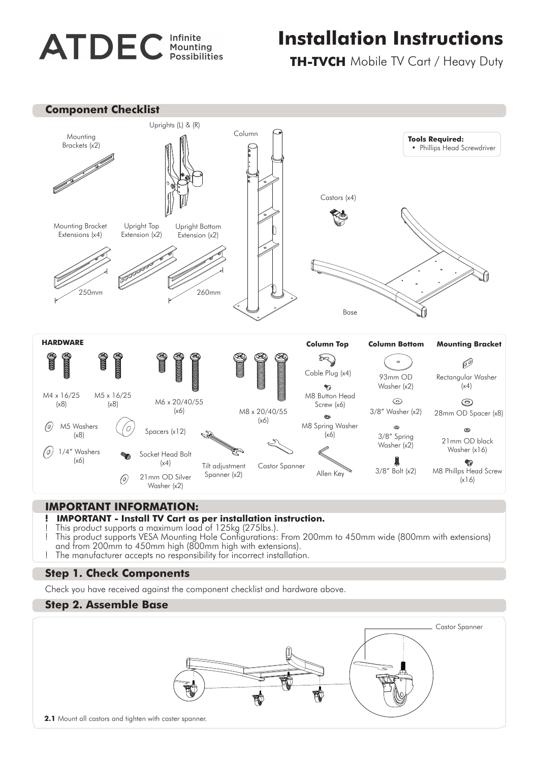# **ATDEC** Infinite

## **Installation Instructions**

**TH-TVCH** Mobile TV Cart / Heavy Duty



### **IMPORTANT INFORMATION:**

- **! IMPORTANT Install TV Cart as per installation instruction.**
- ! This product supports a maximum load of 125kg (275lbs.).
- ! This product supports VESA Mounting Hole Configurations: From 200mm to 450mm wide (800mm with extensions) and from 200mm to 450mm high (800mm high with extensions).
- ! The manufacturer accepts no responsibility for incorrect installation.

#### **Step 1. Check Components**

Check you have received against the component checklist and hardware above.

#### **Step 2. Assemble Base**

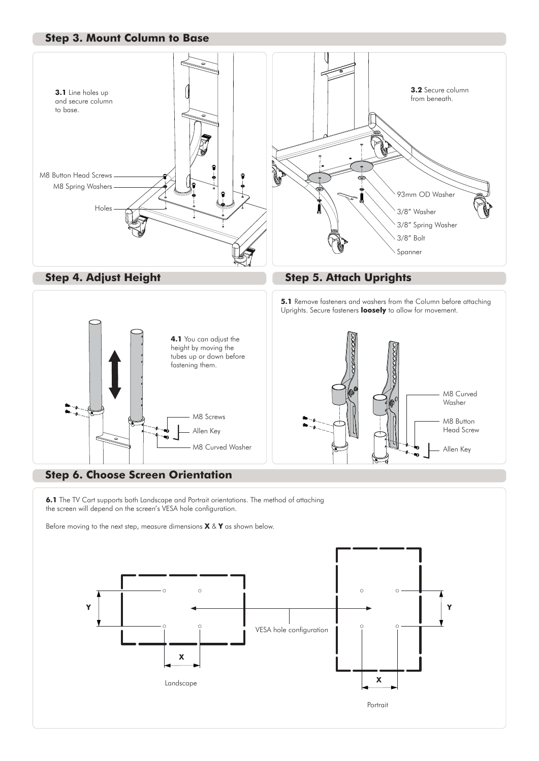#### **Step 3. Mount Column to Base**





**Step 4. Adjust Height <b>Step 5. Attach Uprights** 

**5.1** Remove fasteners and washers from the Column before attaching Uprights. Secure fasteners **loosely** to allow for movement.





#### **Step 6. Choose Screen Orientation**

**6.1** The TV Cart supports both Landscape and Portrait orientations. The method of attaching the screen will depend on the screen's VESA hole configuration.

Before moving to the next step, measure dimensions **X** & **Y** as shown below.

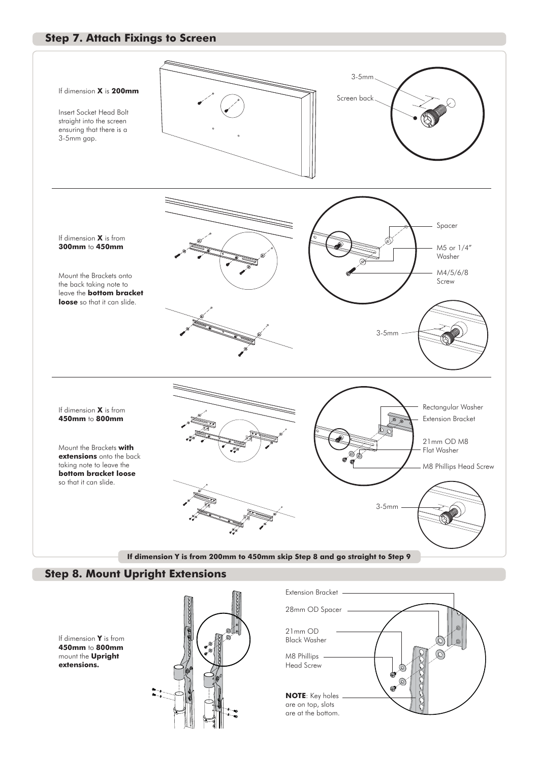#### **Step 7. Attach Fixings to Screen**



#### **Step 8. Mount Upright Extensions**

If dimension **Y** is from **450mm** to **800mm** mount the **Upright extensions.**



M8 Phillips Head Screw **NOTE**: Key holes are on top, slots are at the bottom. 21mm OD Black Washer 28mm OD Spacer Extension Bracket -